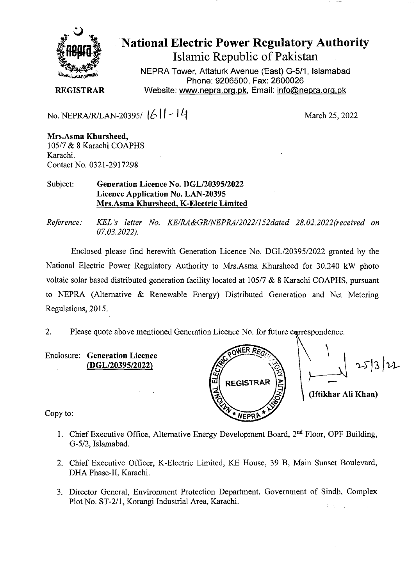

National Electric Power Regulatory Authority Islamic Republic of Pakistan

NEPRA Tower, Attaturk Avenue (East) G-511, Islamabad Phone: 9206500, Fax: 2600026 **REGISTRAR** Website: www.nepra.org.pk, Email: info@nepra.org.pk

No. NEPRA/RJLAN-203951 **1t It** - I

March 25, 2022

**Mrs.Asma Khursheed,**  105/7 & 8 Karachi COAPHS Karachi. Contact No. 0321-2917298

Subject: **Generation Licence** No. DGL/20395/2022 Licence Application No. LAN-20395 **Mrs.Asma Khursheed, K-Electric Limited** 

*Reference: KEL 's letter No. KE/RA&GR/NEPRA/2022/152dated 28.02.2022(received on 07.03.2022).* 

Enclosed please find herewith Generation Licence No. DGL/20395/2022 granted by the National Electric Power Regulatory Authority to Mrs.Asma Khursheed for 30.240 kW photo voltaic solar based distributed generation facility located at  $105/7$  & 8 Karachi COAPHS, pursuant to NEPRA (Alternative & Renewable Energy) Distributed Generation and Net Metering Regulations, 2015.

2. Please quote above mentioned Generation Licence No. for future correspondence.

Enclosure: **Generation Licence (DGL/20395/2022)** 



Copy to:

- 1. Chief Executive Office, Alternative Energy Development Board,  $2<sup>nd</sup>$  Floor, OPF Building, G-5/2, Islamabad.
- 2. Chief Executive Officer, K-Electric Limited, KE House, 39 B, Main Sunset Boulevard, DHA Phase-Il, Karachi.
- 3. Director General, Environment Protection Department, Government of Sindh, Complex Plot No. ST-2/1, Korangi Industrial Area, Karachi.